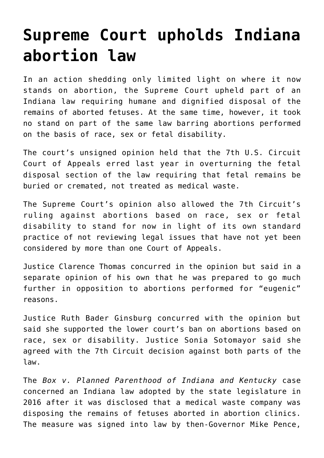## **[Supreme Court upholds Indiana](https://www.osvnews.com/2019/05/28/supreme-court-upholds-indiana-abortion-law/) [abortion law](https://www.osvnews.com/2019/05/28/supreme-court-upholds-indiana-abortion-law/)**

In an action shedding only limited light on where it now stands on abortion, the Supreme Court upheld part of an Indiana law requiring humane and dignified disposal of the remains of aborted fetuses. At the same time, however, it took no stand on part of the same law barring abortions performed on the basis of race, sex or fetal disability.

The court's unsigned opinion held that the 7th U.S. Circuit Court of Appeals erred last year in overturning the fetal disposal section of the law requiring that fetal remains be buried or cremated, not treated as medical waste.

The Supreme Court's opinion also allowed the 7th Circuit's ruling against abortions based on race, sex or fetal disability to stand for now in light of its own standard practice of not reviewing legal issues that have not yet been considered by more than one Court of Appeals.

Justice Clarence Thomas concurred in the opinion but said in a separate opinion of his own that he was prepared to go much further in opposition to abortions performed for "eugenic" reasons.

Justice Ruth Bader Ginsburg concurred with the opinion but said she supported the lower court's ban on abortions based on race, sex or disability. Justice Sonia Sotomayor said she agreed with the 7th Circuit decision against both parts of the law.

The *Box v. Planned Parenthood of Indiana and Kentucky* case concerned an Indiana law adopted by the state legislature in 2016 after it was disclosed that a medical waste company was disposing the remains of fetuses aborted in abortion clinics. The measure was signed into law by then-Governor Mike Pence,